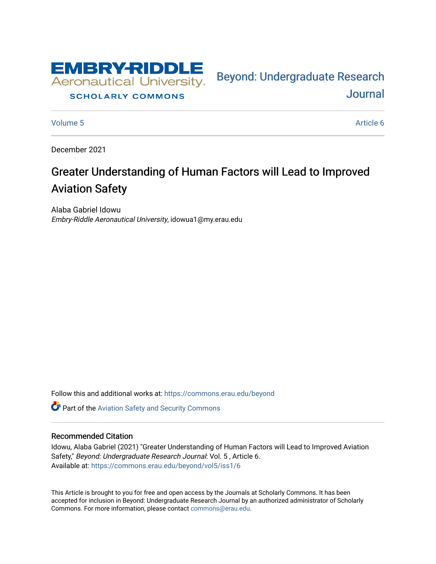

#### **SCHOLARLY COMMONS**

[Volume 5](https://commons.erau.edu/beyond/vol5) Article 6

[Journal](https://commons.erau.edu/beyond) 

Bey[ond: Undergraduate Resear](https://commons.erau.edu/beyond)ch

December 2021

# Greater Understanding of Human Factors will Lead to Improved Aviation Safety

Alaba Gabriel Idowu Embry-Riddle Aeronautical University, idowua1@my.erau.edu

Follow this and additional works at: [https://commons.erau.edu/beyond](https://commons.erau.edu/beyond?utm_source=commons.erau.edu%2Fbeyond%2Fvol5%2Fiss1%2F6&utm_medium=PDF&utm_campaign=PDFCoverPages) 

**C** Part of the Aviation Safety and Security Commons

#### Recommended Citation

Idowu, Alaba Gabriel (2021) "Greater Understanding of Human Factors will Lead to Improved Aviation Safety," Beyond: Undergraduate Research Journal: Vol. 5, Article 6. Available at: [https://commons.erau.edu/beyond/vol5/iss1/6](https://commons.erau.edu/beyond/vol5/iss1/6?utm_source=commons.erau.edu%2Fbeyond%2Fvol5%2Fiss1%2F6&utm_medium=PDF&utm_campaign=PDFCoverPages) 

This Article is brought to you for free and open access by the Journals at Scholarly Commons. It has been accepted for inclusion in Beyond: Undergraduate Research Journal by an authorized administrator of Scholarly Commons. For more information, please contact [commons@erau.edu.](mailto:commons@erau.edu)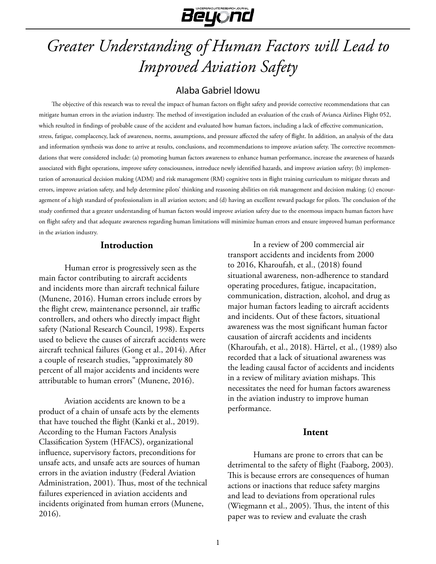

# *Greater Understanding of Human Factors will Lead to Improved Aviation Safety*

# Alaba Gabriel Idowu

The objective of this research was to reveal the impact of human factors on flight safety and provide corrective recommendations that can mitigate human errors in the aviation industry. The method of investigation included an evaluation of the crash of Avianca Airlines Flight 052, which resulted in findings of probable cause of the accident and evaluated how human factors, including a lack of effective communication, stress, fatigue, complacency, lack of awareness, norms, assumptions, and pressure affected the safety of flight. In addition, an analysis of the data and information synthesis was done to arrive at results, conclusions, and recommendations to improve aviation safety. The corrective recommendations that were considered include: (a) promoting human factors awareness to enhance human performance, increase the awareness of hazards associated with flight operations, improve safety consciousness, introduce newly identified hazards, and improve aviation safety; (b) implementation of aeronautical decision making (ADM) and risk management (RM) cognitive tests in flight training curriculum to mitigate threats and errors, improve aviation safety, and help determine pilots' thinking and reasoning abilities on risk management and decision making; (c) encouragement of a high standard of professionalism in all aviation sectors; and (d) having an excellent reward package for pilots. The conclusion of the study confirmed that a greater understanding of human factors would improve aviation safety due to the enormous impacts human factors have on flight safety and that adequate awareness regarding human limitations will minimize human errors and ensure improved human performance in the aviation industry.

#### **Introduction**

Human error is progressively seen as the main factor contributing to aircraft accidents and incidents more than aircraft technical failure (Munene, 2016). Human errors include errors by the flight crew, maintenance personnel, air traffic controllers, and others who directly impact flight safety (National Research Council, 1998). Experts used to believe the causes of aircraft accidents were aircraft technical failures (Gong et al., 2014). After a couple of research studies, "approximately 80 percent of all major accidents and incidents were attributable to human errors" (Munene, 2016).

Aviation accidents are known to be a product of a chain of unsafe acts by the elements that have touched the flight (Kanki et al., 2019). According to the Human Factors Analysis Classification System (HFACS), organizational influence, supervisory factors, preconditions for unsafe acts, and unsafe acts are sources of human errors in the aviation industry (Federal Aviation Administration, 2001). Thus, most of the technical failures experienced in aviation accidents and incidents originated from human errors (Munene, 2016).

In a review of 200 commercial air transport accidents and incidents from 2000 to 2016, Kharoufah, et al., (2018) found situational awareness, non-adherence to standard operating procedures, fatigue, incapacitation, communication, distraction, alcohol, and drug as major human factors leading to aircraft accidents and incidents. Out of these factors, situational awareness was the most significant human factor causation of aircraft accidents and incidents (Kharoufah, et al., 2018). Härtel, et al., (1989) also recorded that a lack of situational awareness was the leading causal factor of accidents and incidents in a review of military aviation mishaps. This necessitates the need for human factors awareness in the aviation industry to improve human performance.

#### **Intent**

Humans are prone to errors that can be detrimental to the safety of flight (Faaborg, 2003). This is because errors are consequences of human actions or inactions that reduce safety margins and lead to deviations from operational rules (Wiegmann et al., 2005). Thus, the intent of this paper was to review and evaluate the crash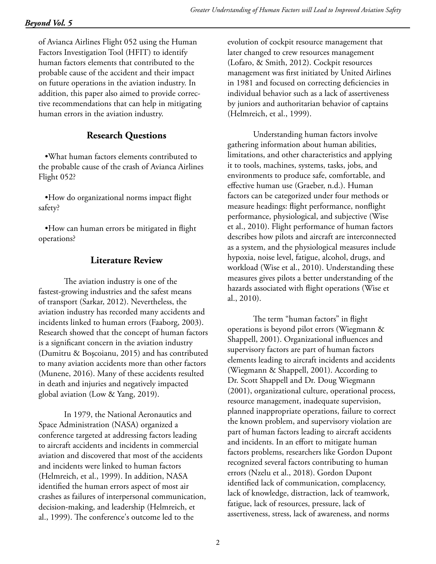of Avianca Airlines Flight 052 using the Human Factors Investigation Tool (HFIT) to identify human factors elements that contributed to the probable cause of the accident and their impact on future operations in the aviation industry. In addition, this paper also aimed to provide corrective recommendations that can help in mitigating human errors in the aviation industry.

# **Research Questions**

•What human factors elements contributed to the probable cause of the crash of Avianca Airlines Flight 052?

•How do organizational norms impact flight safety?

•How can human errors be mitigated in flight operations?

# **Literature Review**

The aviation industry is one of the fastest-growing industries and the safest means of transport (Sarkar, 2012). Nevertheless, the aviation industry has recorded many accidents and incidents linked to human errors (Faaborg, 2003). Research showed that the concept of human factors is a significant concern in the aviation industry (Dumitru & Boşcoianu, 2015) and has contributed to many aviation accidents more than other factors (Munene, 2016). Many of these accidents resulted in death and injuries and negatively impacted global aviation (Low & Yang, 2019).

In 1979, the National Aeronautics and Space Administration (NASA) organized a conference targeted at addressing factors leading to aircraft accidents and incidents in commercial aviation and discovered that most of the accidents and incidents were linked to human factors (Helmreich, et al., 1999). In addition, NASA identified the human errors aspect of most air crashes as failures of interpersonal communication, decision-making, and leadership (Helmreich, et al., 1999). The conference's outcome led to the

evolution of cockpit resource management that later changed to crew resources management (Lofaro, & Smith, 2012). Cockpit resources management was first initiated by United Airlines in 1981 and focused on correcting deficiencies in individual behavior such as a lack of assertiveness by juniors and authoritarian behavior of captains (Helmreich, et al., 1999).

Understanding human factors involve gathering information about human abilities, limitations, and other characteristics and applying it to tools, machines, systems, tasks, jobs, and environments to produce safe, comfortable, and effective human use (Graeber, n.d.). Human factors can be categorized under four methods or measure headings: flight performance, nonflight performance, physiological, and subjective (Wise et al., 2010). Flight performance of human factors describes how pilots and aircraft are interconnected as a system, and the physiological measures include hypoxia, noise level, fatigue, alcohol, drugs, and workload (Wise et al., 2010). Understanding these measures gives pilots a better understanding of the hazards associated with flight operations (Wise et al., 2010).

The term "human factors" in flight operations is beyond pilot errors (Wiegmann & Shappell, 2001). Organizational influences and supervisory factors are part of human factors elements leading to aircraft incidents and accidents (Wiegmann & Shappell, 2001). According to Dr. Scott Shappell and Dr. Doug Wiegmann (2001), organizational culture, operational process, resource management, inadequate supervision, planned inappropriate operations, failure to correct the known problem, and supervisory violation are part of human factors leading to aircraft accidents and incidents. In an effort to mitigate human factors problems, researchers like Gordon Dupont recognized several factors contributing to human errors (Nzelu et al., 2018). Gordon Dupont identified lack of communication, complacency, lack of knowledge, distraction, lack of teamwork, fatigue, lack of resources, pressure, lack of assertiveness, stress, lack of awareness, and norms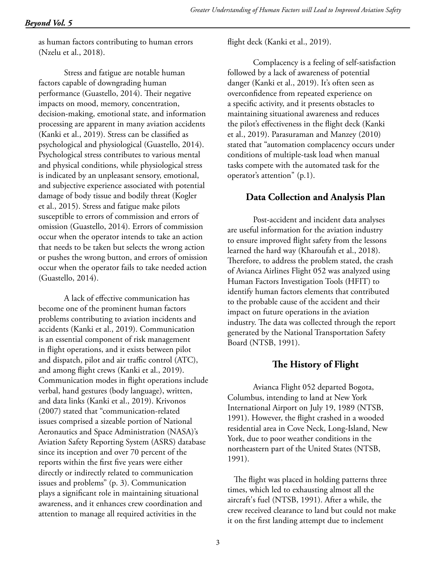as human factors contributing to human errors (Nzelu et al., 2018).

Stress and fatigue are notable human factors capable of downgrading human performance (Guastello, 2014). Their negative impacts on mood, memory, concentration, decision-making, emotional state, and information processing are apparent in many aviation accidents (Kanki et al., 2019). Stress can be classified as psychological and physiological (Guastello, 2014). Psychological stress contributes to various mental and physical conditions, while physiological stress is indicated by an unpleasant sensory, emotional, and subjective experience associated with potential damage of body tissue and bodily threat (Kogler et al., 2015). Stress and fatigue make pilots susceptible to errors of commission and errors of omission (Guastello, 2014). Errors of commission occur when the operator intends to take an action that needs to be taken but selects the wrong action or pushes the wrong button, and errors of omission occur when the operator fails to take needed action (Guastello, 2014).

A lack of effective communication has become one of the prominent human factors problems contributing to aviation incidents and accidents (Kanki et al., 2019). Communication is an essential component of risk management in flight operations, and it exists between pilot and dispatch, pilot and air traffic control (ATC), and among flight crews (Kanki et al., 2019). Communication modes in flight operations include verbal, hand gestures (body language), written, and data links (Kanki et al., 2019). Krivonos (2007) stated that "communication-related issues comprised a sizeable portion of National Aeronautics and Space Administration (NASA)'s Aviation Safety Reporting System (ASRS) database since its inception and over 70 percent of the reports within the first five years were either directly or indirectly related to communication issues and problems" (p. 3). Communication plays a significant role in maintaining situational awareness, and it enhances crew coordination and attention to manage all required activities in the

flight deck (Kanki et al., 2019).

Complacency is a feeling of self-satisfaction followed by a lack of awareness of potential danger (Kanki et al., 2019). It's often seen as overconfidence from repeated experience on a specific activity, and it presents obstacles to maintaining situational awareness and reduces the pilot's effectiveness in the flight deck (Kanki et al., 2019). Parasuraman and Manzey (2010) stated that "automation complacency occurs under conditions of multiple-task load when manual tasks compete with the automated task for the operator's attention" (p.1).

# **Data Collection and Analysis Plan**

Post-accident and incident data analyses are useful information for the aviation industry to ensure improved flight safety from the lessons learned the hard way (Kharoufah et al., 2018). Therefore, to address the problem stated, the crash of Avianca Airlines Flight 052 was analyzed using Human Factors Investigation Tools (HFIT) to identify human factors elements that contributed to the probable cause of the accident and their impact on future operations in the aviation industry. The data was collected through the report generated by the National Transportation Safety Board (NTSB, 1991).

# **The History of Flight**

Avianca Flight 052 departed Bogota, Columbus, intending to land at New York International Airport on July 19, 1989 (NTSB, 1991). However, the flight crashed in a wooded residential area in Cove Neck, Long-Island, New York, due to poor weather conditions in the northeastern part of the United States (NTSB, 1991).

The flight was placed in holding patterns three times, which led to exhausting almost all the aircraft's fuel (NTSB, 1991). After a while, the crew received clearance to land but could not make it on the first landing attempt due to inclement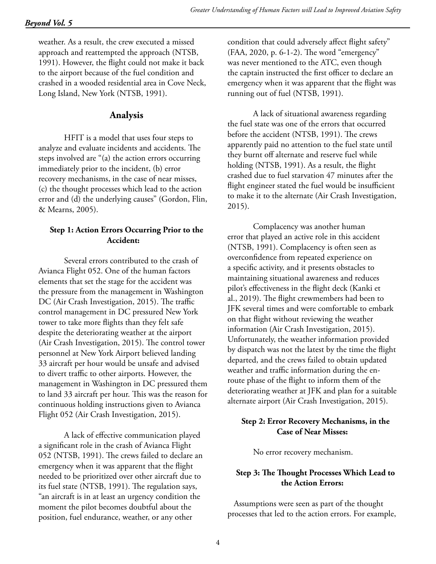weather. As a result, the crew executed a missed approach and reattempted the approach (NTSB, 1991). However, the flight could not make it back to the airport because of the fuel condition and crashed in a wooded residential area in Cove Neck, Long Island, New York (NTSB, 1991).

# **Analysis**

HFIT is a model that uses four steps to analyze and evaluate incidents and accidents. The steps involved are "(a) the action errors occurring immediately prior to the incident, (b) error recovery mechanisms, in the case of near misses, (c) the thought processes which lead to the action error and (d) the underlying causes" (Gordon, Flin, & Mearns, 2005).

#### **Step 1: Action Errors Occurring Prior to the Accident:**

Several errors contributed to the crash of Avianca Flight 052. One of the human factors elements that set the stage for the accident was the pressure from the management in Washington DC (Air Crash Investigation, 2015). The traffic control management in DC pressured New York tower to take more flights than they felt safe despite the deteriorating weather at the airport (Air Crash Investigation, 2015). The control tower personnel at New York Airport believed landing 33 aircraft per hour would be unsafe and advised to divert traffic to other airports. However, the management in Washington in DC pressured them to land 33 aircraft per hour. This was the reason for continuous holding instructions given to Avianca Flight 052 (Air Crash Investigation, 2015).

A lack of effective communication played a significant role in the crash of Avianca Flight 052 (NTSB, 1991). The crews failed to declare an emergency when it was apparent that the flight needed to be prioritized over other aircraft due to its fuel state (NTSB, 1991). The regulation says, "an aircraft is in at least an urgency condition the moment the pilot becomes doubtful about the position, fuel endurance, weather, or any other

condition that could adversely affect flight safety" (FAA, 2020, p. 6-1-2). The word "emergency" was never mentioned to the ATC, even though the captain instructed the first officer to declare an emergency when it was apparent that the flight was running out of fuel (NTSB, 1991).

A lack of situational awareness regarding the fuel state was one of the errors that occurred before the accident (NTSB, 1991). The crews apparently paid no attention to the fuel state until they burnt off alternate and reserve fuel while holding (NTSB, 1991). As a result, the flight crashed due to fuel starvation 47 minutes after the flight engineer stated the fuel would be insufficient to make it to the alternate (Air Crash Investigation, 2015).

Complacency was another human error that played an active role in this accident (NTSB, 1991). Complacency is often seen as overconfidence from repeated experience on a specific activity, and it presents obstacles to maintaining situational awareness and reduces pilot's effectiveness in the flight deck (Kanki et al., 2019). The flight crewmembers had been to JFK several times and were comfortable to embark on that flight without reviewing the weather information (Air Crash Investigation, 2015). Unfortunately, the weather information provided by dispatch was not the latest by the time the flight departed, and the crews failed to obtain updated weather and traffic information during the enroute phase of the flight to inform them of the deteriorating weather at JFK and plan for a suitable alternate airport (Air Crash Investigation, 2015).

#### **Step 2: Error Recovery Mechanisms, in the Case of Near Misses:**

No error recovery mechanism.

# **Step 3: The Thought Processes Which Lead to the Action Errors:**

Assumptions were seen as part of the thought processes that led to the action errors. For example,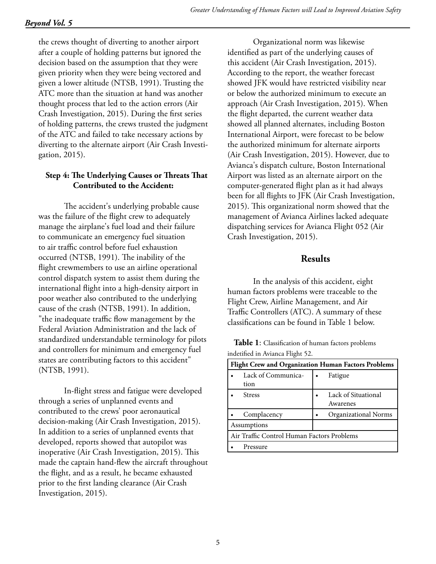# *Beyond Vol. 5*

the crews thought of diverting to another airport after a couple of holding patterns but ignored the decision based on the assumption that they were given priority when they were being vectored and given a lower altitude (NTSB, 1991). Trusting the ATC more than the situation at hand was another thought process that led to the action errors (Air Crash Investigation, 2015). During the first series of holding patterns, the crews trusted the judgment of the ATC and failed to take necessary actions by diverting to the alternate airport (Air Crash Investigation, 2015).

## **Step 4: The Underlying Causes or Threats That Contributed to the Accident:**

The accident's underlying probable cause was the failure of the flight crew to adequately manage the airplane's fuel load and their failure to communicate an emergency fuel situation to air traffic control before fuel exhaustion occurred (NTSB, 1991). The inability of the flight crewmembers to use an airline operational control dispatch system to assist them during the international flight into a high-density airport in poor weather also contributed to the underlying cause of the crash (NTSB, 1991). In addition, "the inadequate traffic flow management by the Federal Aviation Administration and the lack of standardized understandable terminology for pilots and controllers for minimum and emergency fuel states are contributing factors to this accident" (NTSB, 1991).

In-flight stress and fatigue were developed through a series of unplanned events and contributed to the crews' poor aeronautical decision-making (Air Crash Investigation, 2015). In addition to a series of unplanned events that developed, reports showed that autopilot was inoperative (Air Crash Investigation, 2015). This made the captain hand-flew the aircraft throughout the flight, and as a result, he became exhausted prior to the first landing clearance (Air Crash Investigation, 2015).

Organizational norm was likewise identified as part of the underlying causes of this accident (Air Crash Investigation, 2015). According to the report, the weather forecast showed JFK would have restricted visibility near or below the authorized minimum to execute an approach (Air Crash Investigation, 2015). When the flight departed, the current weather data showed all planned alternates, including Boston International Airport, were forecast to be below the authorized minimum for alternate airports (Air Crash Investigation, 2015). However, due to Avianca's dispatch culture, Boston International Airport was listed as an alternate airport on the computer-generated flight plan as it had always been for all flights to JFK (Air Crash Investigation, 2015). This organizational norm showed that the management of Avianca Airlines lacked adequate dispatching services for Avianca Flight 052 (Air Crash Investigation, 2015).

# **Results**

In the analysis of this accident, eight human factors problems were traceable to the Flight Crew, Airline Management, and Air Traffic Controllers (ATC). A summary of these classifications can be found in Table 1 below.

**Flight Crew and Organization Human Factors Problems** Lack of Communication **Fatigue** Stress **• Lack of Situational** Awarenes Complacency **• Organizational Norms** Assumptions Air Traffic Control Human Factors Problems **Pressure** 

**Table 1**: Classification of human factors problems indetified in Avianca Flight 52.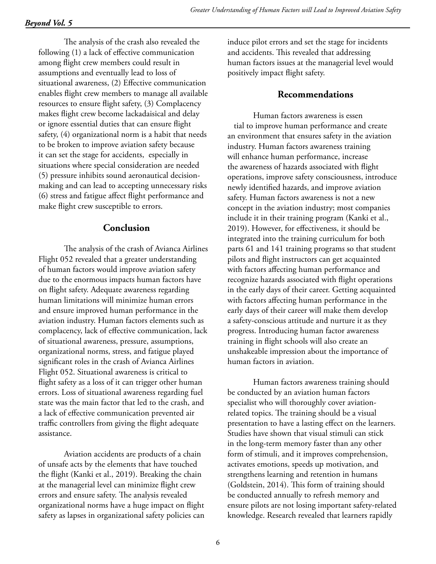The analysis of the crash also revealed the following (1) a lack of effective communication among flight crew members could result in assumptions and eventually lead to loss of situational awareness, (2) Effective communication enables flight crew members to manage all available resources to ensure flight safety, (3) Complacency makes flight crew become lackadaisical and delay or ignore essential duties that can ensure flight safety, (4) organizational norm is a habit that needs to be broken to improve aviation safety because it can set the stage for accidents, especially in situations where special consideration are needed (5) pressure inhibits sound aeronautical decisionmaking and can lead to accepting unnecessary risks (6) stress and fatigue affect flight performance and make flight crew susceptible to errors.

# **Conclusion**

The analysis of the crash of Avianca Airlines Flight 052 revealed that a greater understanding of human factors would improve aviation safety due to the enormous impacts human factors have on flight safety. Adequate awareness regarding human limitations will minimize human errors and ensure improved human performance in the aviation industry. Human factors elements such as complacency, lack of effective communication, lack of situational awareness, pressure, assumptions, organizational norms, stress, and fatigue played significant roles in the crash of Avianca Airlines Flight 052. Situational awareness is critical to flight safety as a loss of it can trigger other human errors. Loss of situational awareness regarding fuel state was the main factor that led to the crash, and a lack of effective communication prevented air traffic controllers from giving the flight adequate assistance.

Aviation accidents are products of a chain of unsafe acts by the elements that have touched the flight (Kanki et al., 2019). Breaking the chain at the managerial level can minimize flight crew errors and ensure safety. The analysis revealed organizational norms have a huge impact on flight safety as lapses in organizational safety policies can induce pilot errors and set the stage for incidents and accidents. This revealed that addressing human factors issues at the managerial level would positively impact flight safety.

# **Recommendations**

Human factors awareness is essen tial to improve human performance and create an environment that ensures safety in the aviation industry. Human factors awareness training will enhance human performance, increase the awareness of hazards associated with flight operations, improve safety consciousness, introduce newly identified hazards, and improve aviation safety. Human factors awareness is not a new concept in the aviation industry; most companies include it in their training program (Kanki et al., 2019). However, for effectiveness, it should be integrated into the training curriculum for both parts 61 and 141 training programs so that student pilots and flight instructors can get acquainted with factors affecting human performance and recognize hazards associated with flight operations in the early days of their career. Getting acquainted with factors affecting human performance in the early days of their career will make them develop a safety-conscious attitude and nurture it as they progress. Introducing human factor awareness training in flight schools will also create an unshakeable impression about the importance of human factors in aviation.

Human factors awareness training should be conducted by an aviation human factors specialist who will thoroughly cover aviationrelated topics. The training should be a visual presentation to have a lasting effect on the learners. Studies have shown that visual stimuli can stick in the long-term memory faster than any other form of stimuli, and it improves comprehension, activates emotions, speeds up motivation, and strengthens learning and retention in humans (Goldstein, 2014). This form of training should be conducted annually to refresh memory and ensure pilots are not losing important safety-related knowledge. Research revealed that learners rapidly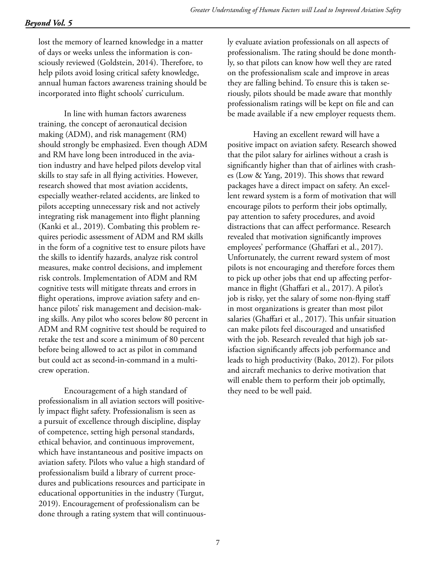lost the memory of learned knowledge in a matter of days or weeks unless the information is consciously reviewed (Goldstein, 2014). Therefore, to help pilots avoid losing critical safety knowledge, annual human factors awareness training should be incorporated into flight schools' curriculum.

In line with human factors awareness training, the concept of aeronautical decision making (ADM), and risk management (RM) should strongly be emphasized. Even though ADM and RM have long been introduced in the aviation industry and have helped pilots develop vital skills to stay safe in all flying activities. However, research showed that most aviation accidents, especially weather-related accidents, are linked to pilots accepting unnecessary risk and not actively integrating risk management into flight planning (Kanki et al., 2019). Combating this problem requires periodic assessment of ADM and RM skills in the form of a cognitive test to ensure pilots have the skills to identify hazards, analyze risk control measures, make control decisions, and implement risk controls. Implementation of ADM and RM cognitive tests will mitigate threats and errors in flight operations, improve aviation safety and enhance pilots' risk management and decision-making skills. Any pilot who scores below 80 percent in ADM and RM cognitive test should be required to retake the test and score a minimum of 80 percent before being allowed to act as pilot in command but could act as second-in-command in a multicrew operation.

Encouragement of a high standard of professionalism in all aviation sectors will positively impact flight safety. Professionalism is seen as a pursuit of excellence through discipline, display of competence, setting high personal standards, ethical behavior, and continuous improvement, which have instantaneous and positive impacts on aviation safety. Pilots who value a high standard of professionalism build a library of current procedures and publications resources and participate in educational opportunities in the industry (Turgut, 2019). Encouragement of professionalism can be done through a rating system that will continuous-

ly evaluate aviation professionals on all aspects of professionalism. The rating should be done monthly, so that pilots can know how well they are rated on the professionalism scale and improve in areas they are falling behind. To ensure this is taken seriously, pilots should be made aware that monthly professionalism ratings will be kept on file and can be made available if a new employer requests them.

Having an excellent reward will have a positive impact on aviation safety. Research showed that the pilot salary for airlines without a crash is significantly higher than that of airlines with crashes (Low & Yang, 2019). This shows that reward packages have a direct impact on safety. An excellent reward system is a form of motivation that will encourage pilots to perform their jobs optimally, pay attention to safety procedures, and avoid distractions that can affect performance. Research revealed that motivation significantly improves employees' performance (Ghaffari et al., 2017). Unfortunately, the current reward system of most pilots is not encouraging and therefore forces them to pick up other jobs that end up affecting performance in flight (Ghaffari et al., 2017). A pilot's job is risky, yet the salary of some non-flying staff in most organizations is greater than most pilot salaries (Ghaffari et al., 2017). This unfair situation can make pilots feel discouraged and unsatisfied with the job. Research revealed that high job satisfaction significantly affects job performance and leads to high productivity (Bako, 2012). For pilots and aircraft mechanics to derive motivation that will enable them to perform their job optimally, they need to be well paid.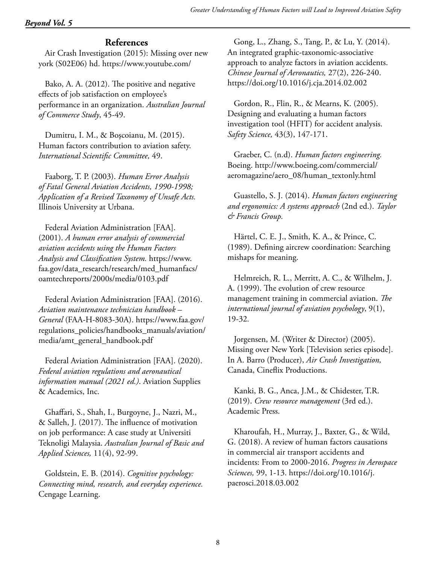# **References**

Air Crash Investigation (2015): Missing over new york (S02E06) hd. https://www.youtube.com/

Bako, A. A. (2012). The positive and negative effects of job satisfaction on employee's performance in an organization. *Australian Journal of Commerce Study*, 45-49.

Dumitru, I. M., & Boşcoianu, M. (2015). Human factors contribution to aviation safety. *International Scientific Committee,* 49.

Faaborg, T. P. (2003). *Human Error Analysis of Fatal General Aviation Accidents, 1990-1998; Application of a Revised Taxonomy of Unsafe Acts.* Illinois University at Urbana.

Federal Aviation Administration [FAA]. (2001). *A human error analysis of commercial aviation accidents using the Human Factors Analysis and Classification System.* https://www. faa.gov/data\_research/research/med\_humanfacs/ oamtechreports/2000s/media/0103.pdf

Federal Aviation Administration [FAA]. (2016). *Aviation maintenance technician handbook – General* (FAA-H-8083-30A). https://www.faa.gov/ regulations\_policies/handbooks\_manuals/aviation/ media/amt\_general\_handbook.pdf

Federal Aviation Administration [FAA]. (2020). *Federal aviation regulations and aeronautical information manual (2021 ed.)*. Aviation Supplies & Academics, Inc.

Ghaffari, S., Shah, I., Burgoyne, J., Nazri, M., & Salleh, J. (2017). The influence of motivation on job performance: A case study at Universiti Teknoligi Malaysia. *Australian Journal of Basic and Applied Sciences,* 11(4), 92-99.

Goldstein, E. B. (2014). *Cognitive psychology: Connecting mind, research, and everyday experience.* Cengage Learning.

Gong, L., Zhang, S., Tang, P., & Lu, Y. (2014). An integrated graphic-taxonomic-associative approach to analyze factors in aviation accidents. *Chinese Journal of Aeronautics,* 27(2), 226-240. https://doi.org/10.1016/j.cja.2014.02.002

Gordon, R., Flin, R., & Mearns, K. (2005). Designing and evaluating a human factors investigation tool (HFIT) for accident analysis. *Safety Science,* 43(3), 147-171.

Graeber, C. (n.d). *Human factors engineering.*  Boeing. http://www.boeing.com/commercial/ aeromagazine/aero\_08/human\_textonly.html

Guastello, S. J. (2014). *Human factors engineering and ergonomics: A systems approach* (2nd ed.). *Taylor & Francis Group.*

Härtel, C. E. J., Smith, K. A., & Prince, C. (1989). Defining aircrew coordination: Searching mishaps for meaning.

Helmreich, R. L., Merritt, A. C., & Wilhelm, J. A. (1999). The evolution of crew resource management training in commercial aviation. *The international journal of aviation psychology*, 9(1), 19-32*.*

Jorgensen, M. (Writer & Director) (2005). Missing over New York [Television series episode]. In A. Barro (Producer), *Air Crash Investigation,*  Canada, Cineflix Productions.

Kanki, B. G., Anca, J.M., & Chidester, T.R. (2019). *Crew resource management* (3rd ed.). Academic Press.

Kharoufah, H., Murray, J., Baxter, G., & Wild, G. (2018). A review of human factors causations in commercial air transport accidents and incidents: From to 2000-2016. *Progress in Aerospace Sciences,* 99, 1-13. https://doi.org/10.1016/j. paerosci.2018.03.002